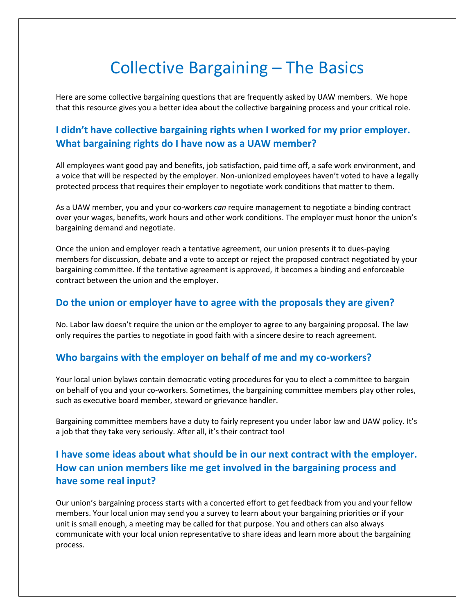# Collective Bargaining – The Basics

Here are some collective bargaining questions that are frequently asked by UAW members. We hope that this resource gives you a better idea about the collective bargaining process and your critical role.

## **I didn't have collective bargaining rights when I worked for my prior employer. What bargaining rights do I have now as a UAW member?**

All employees want good pay and benefits, job satisfaction, paid time off, a safe work environment, and a voice that will be respected by the employer. Non-unionized employees haven't voted to have a legally protected process that requires their employer to negotiate work conditions that matter to them.

As a UAW member, you and your co-workers *can* require management to negotiate a binding contract over your wages, benefits, work hours and other work conditions. The employer must honor the union's bargaining demand and negotiate.

Once the union and employer reach a tentative agreement, our union presents it to dues-paying members for discussion, debate and a vote to accept or reject the proposed contract negotiated by your bargaining committee. If the tentative agreement is approved, it becomes a binding and enforceable contract between the union and the employer.

#### **Do the union or employer have to agree with the proposals they are given?**

No. Labor law doesn't require the union or the employer to agree to any bargaining proposal. The law only requires the parties to negotiate in good faith with a sincere desire to reach agreement.

#### **Who bargains with the employer on behalf of me and my co-workers?**

Your local union bylaws contain democratic voting procedures for you to elect a committee to bargain on behalf of you and your co-workers. Sometimes, the bargaining committee members play other roles, such as executive board member, steward or grievance handler.

Bargaining committee members have a duty to fairly represent you under labor law and UAW policy. It's a job that they take very seriously. After all, it's their contract too!

# **I have some ideas about what should be in our next contract with the employer. How can union members like me get involved in the bargaining process and have some real input?**

Our union's bargaining process starts with a concerted effort to get feedback from you and your fellow members. Your local union may send you a survey to learn about your bargaining priorities or if your unit is small enough, a meeting may be called for that purpose. You and others can also always communicate with your local union representative to share ideas and learn more about the bargaining process.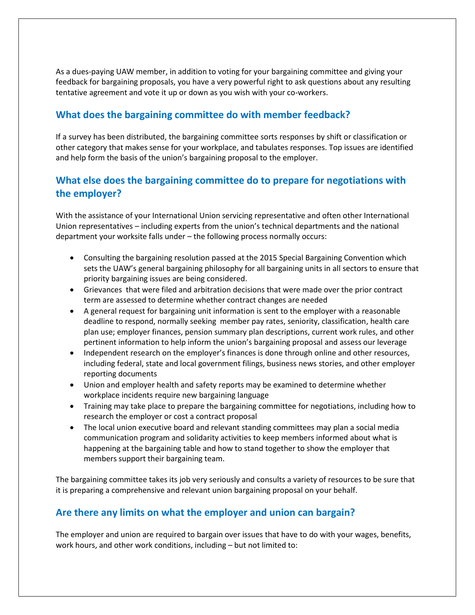As a dues-paying UAW member, in addition to voting for your bargaining committee and giving your feedback for bargaining proposals, you have a very powerful right to ask questions about any resulting tentative agreement and vote it up or down as you wish with your co-workers.

### **What does the bargaining committee do with member feedback?**

If a survey has been distributed, the bargaining committee sorts responses by shift or classification or other category that makes sense for your workplace, and tabulates responses. Top issues are identified and help form the basis of the union's bargaining proposal to the employer.

## **What else does the bargaining committee do to prepare for negotiations with the employer?**

With the assistance of your International Union servicing representative and often other International Union representatives – including experts from the union's technical departments and the national department your worksite falls under – the following process normally occurs:

- Consulting the bargaining resolution passed at the 2015 Special Bargaining Convention which sets the UAW's general bargaining philosophy for all bargaining units in all sectors to ensure that priority bargaining issues are being considered.
- Grievances that were filed and arbitration decisions that were made over the prior contract term are assessed to determine whether contract changes are needed
- A general request for bargaining unit information is sent to the employer with a reasonable deadline to respond, normally seeking member pay rates, seniority, classification, health care plan use; employer finances, pension summary plan descriptions, current work rules, and other pertinent information to help inform the union's bargaining proposal and assess our leverage
- Independent research on the employer's finances is done through online and other resources, including federal, state and local government filings, business news stories, and other employer reporting documents
- Union and employer health and safety reports may be examined to determine whether workplace incidents require new bargaining language
- Training may take place to prepare the bargaining committee for negotiations, including how to research the employer or cost a contract proposal
- The local union executive board and relevant standing committees may plan a social media communication program and solidarity activities to keep members informed about what is happening at the bargaining table and how to stand together to show the employer that members support their bargaining team.

The bargaining committee takes its job very seriously and consults a variety of resources to be sure that it is preparing a comprehensive and relevant union bargaining proposal on your behalf.

#### **Are there any limits on what the employer and union can bargain?**

The employer and union are required to bargain over issues that have to do with your wages, benefits, work hours, and other work conditions, including – but not limited to: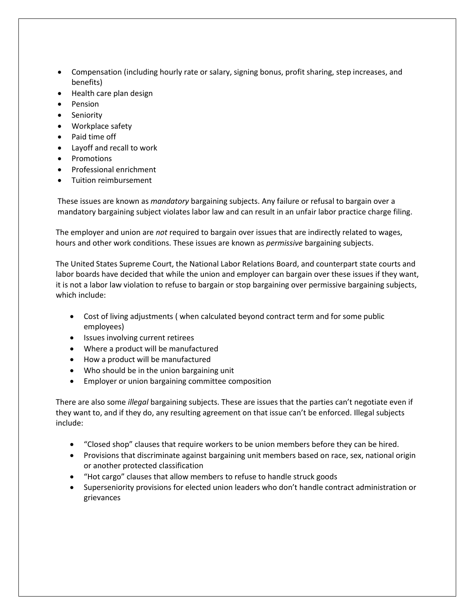- Compensation (including hourly rate or salary, signing bonus, profit sharing, step increases, and benefits)
- Health care plan design
- Pension
- Seniority
- Workplace safety
- Paid time off
- Layoff and recall to work
- Promotions
- Professional enrichment
- Tuition reimbursement

These issues are known as *mandatory* bargaining subjects. Any failure or refusal to bargain over a mandatory bargaining subject violates labor law and can result in an unfair labor practice charge filing.

The employer and union are *not* required to bargain over issues that are indirectly related to wages, hours and other work conditions. These issues are known as *permissive* bargaining subjects.

The United States Supreme Court, the National Labor Relations Board, and counterpart state courts and labor boards have decided that while the union and employer can bargain over these issues if they want, it is not a labor law violation to refuse to bargain or stop bargaining over permissive bargaining subjects, which include:

- Cost of living adjustments ( when calculated beyond contract term and for some public employees)
- Issues involving current retirees
- Where a product will be manufactured
- How a product will be manufactured
- Who should be in the union bargaining unit
- Employer or union bargaining committee composition

There are also some *illegal* bargaining subjects. These are issues that the parties can't negotiate even if they want to, and if they do, any resulting agreement on that issue can't be enforced. Illegal subjects include:

- "Closed shop" clauses that require workers to be union members before they can be hired.
- Provisions that discriminate against bargaining unit members based on race, sex, national origin or another protected classification
- "Hot cargo" clauses that allow members to refuse to handle struck goods
- Superseniority provisions for elected union leaders who don't handle contract administration or grievances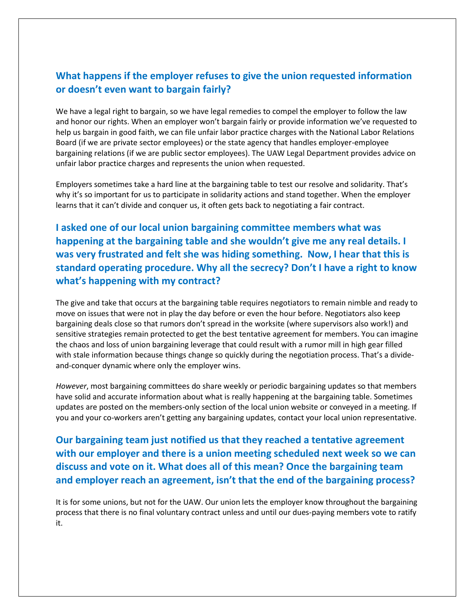#### **What happens if the employer refuses to give the union requested information or doesn't even want to bargain fairly?**

We have a legal right to bargain, so we have legal remedies to compel the employer to follow the law and honor our rights. When an employer won't bargain fairly or provide information we've requested to help us bargain in good faith, we can file unfair labor practice charges with the National Labor Relations Board (if we are private sector employees) or the state agency that handles employer-employee bargaining relations (if we are public sector employees). The UAW Legal Department provides advice on unfair labor practice charges and represents the union when requested.

Employers sometimes take a hard line at the bargaining table to test our resolve and solidarity. That's why it's so important for us to participate in solidarity actions and stand together. When the employer learns that it can't divide and conquer us, it often gets back to negotiating a fair contract.

**I asked one of our local union bargaining committee members what was happening at the bargaining table and she wouldn't give me any real details. I was very frustrated and felt she was hiding something. Now, I hear that this is standard operating procedure. Why all the secrecy? Don't I have a right to know what's happening with my contract?**

The give and take that occurs at the bargaining table requires negotiators to remain nimble and ready to move on issues that were not in play the day before or even the hour before. Negotiators also keep bargaining deals close so that rumors don't spread in the worksite (where supervisors also work!) and sensitive strategies remain protected to get the best tentative agreement for members. You can imagine the chaos and loss of union bargaining leverage that could result with a rumor mill in high gear filled with stale information because things change so quickly during the negotiation process. That's a divideand-conquer dynamic where only the employer wins.

*However*, most bargaining committees do share weekly or periodic bargaining updates so that members have solid and accurate information about what is really happening at the bargaining table. Sometimes updates are posted on the members-only section of the local union website or conveyed in a meeting. If you and your co-workers aren't getting any bargaining updates, contact your local union representative.

**Our bargaining team just notified us that they reached a tentative agreement with our employer and there is a union meeting scheduled next week so we can discuss and vote on it. What does all of this mean? Once the bargaining team and employer reach an agreement, isn't that the end of the bargaining process?**

It is for some unions, but not for the UAW. Our union lets the employer know throughout the bargaining process that there is no final voluntary contract unless and until our dues-paying members vote to ratify it.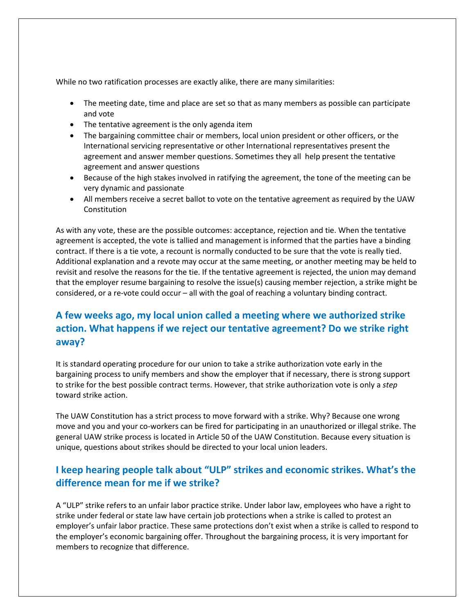While no two ratification processes are exactly alike, there are many similarities:

- The meeting date, time and place are set so that as many members as possible can participate and vote
- The tentative agreement is the only agenda item
- The bargaining committee chair or members, local union president or other officers, or the International servicing representative or other International representatives present the agreement and answer member questions. Sometimes they all help present the tentative agreement and answer questions
- Because of the high stakes involved in ratifying the agreement, the tone of the meeting can be very dynamic and passionate
- All members receive a secret ballot to vote on the tentative agreement as required by the UAW **Constitution**

As with any vote, these are the possible outcomes: acceptance, rejection and tie. When the tentative agreement is accepted, the vote is tallied and management is informed that the parties have a binding contract. If there is a tie vote, a recount is normally conducted to be sure that the vote is really tied. Additional explanation and a revote may occur at the same meeting, or another meeting may be held to revisit and resolve the reasons for the tie. If the tentative agreement is rejected, the union may demand that the employer resume bargaining to resolve the issue(s) causing member rejection, a strike might be considered, or a re-vote could occur – all with the goal of reaching a voluntary binding contract.

# **A few weeks ago, my local union called a meeting where we authorized strike action. What happens if we reject our tentative agreement? Do we strike right away?**

It is standard operating procedure for our union to take a strike authorization vote early in the bargaining process to unify members and show the employer that if necessary, there is strong support to strike for the best possible contract terms. However, that strike authorization vote is only a *step* toward strike action.

The UAW Constitution has a strict process to move forward with a strike. Why? Because one wrong move and you and your co-workers can be fired for participating in an unauthorized or illegal strike. The general UAW strike process is located in Article 50 of the UAW Constitution. Because every situation is unique, questions about strikes should be directed to your local union leaders.

## **I keep hearing people talk about "ULP" strikes and economic strikes. What's the difference mean for me if we strike?**

A "ULP" strike refers to an unfair labor practice strike. Under labor law, employees who have a right to strike under federal or state law have certain job protections when a strike is called to protest an employer's unfair labor practice. These same protections don't exist when a strike is called to respond to the employer's economic bargaining offer. Throughout the bargaining process, it is very important for members to recognize that difference.